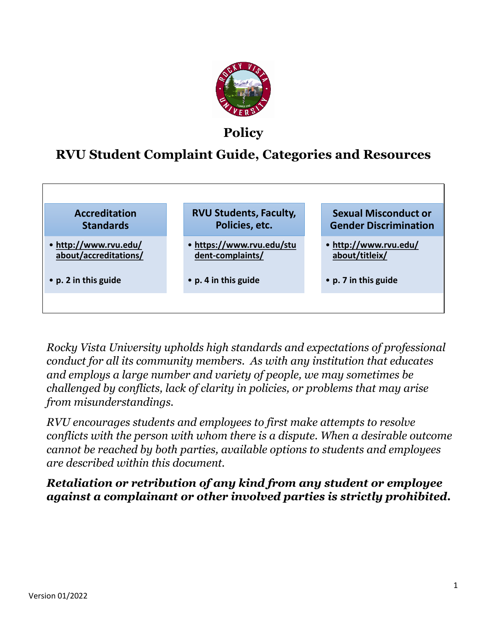

# **Policy**

# **RVU Student Complaint Guide, Categories and Resources**



*Rocky Vista University upholds high standards and expectations of professional conduct for all its community members. As with any institution that educates and employs a large number and variety of people, we may sometimes be challenged by conflicts, lack of clarity in policies, or problems that may arise from misunderstandings.*

*RVU encourages students and employees to first make attempts to resolve conflicts with the person with whom there is a dispute. When a desirable outcome cannot be reached by both parties, available options to students and employees are described within this document.* 

*Retaliation or retribution of any kind from any student or employee against a complainant or other involved parties is strictly prohibited.*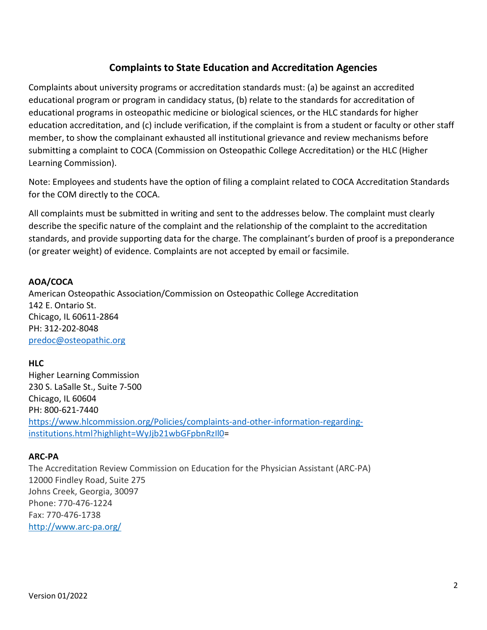# **Complaints to State Education and Accreditation Agencies**

Complaints about university programs or accreditation standards must: (a) be against an accredited educational program or program in candidacy status, (b) relate to the standards for accreditation of educational programs in osteopathic medicine or biological sciences, or the HLC standards for higher education accreditation, and (c) include verification, if the complaint is from a student or faculty or other staff member, to show the complainant exhausted all institutional grievance and review mechanisms before submitting a complaint to COCA (Commission on Osteopathic College Accreditation) or the HLC (Higher Learning Commission).

Note: Employees and students have the option of filing a complaint related to COCA Accreditation Standards for the COM directly to the COCA.

All complaints must be submitted in writing and sent to the addresses below. The complaint must clearly describe the specific nature of the complaint and the relationship of the complaint to the accreditation standards, and provide supporting data for the charge. The complainant's burden of proof is a preponderance (or greater weight) of evidence. Complaints are not accepted by email or facsimile.

#### **AOA/COCA**

American Osteopathic Association/Commission on Osteopathic College Accreditation 142 E. Ontario St. Chicago, IL 60611-2864 PH: 312-202-8048 [predoc@osteopathic.org](mailto:predoc@osteopathic.org) 

#### **HLC**

Higher Learning Commission 230 S. LaSalle St., Suite 7-500 Chicago, IL 60604 PH: 800-621-7440 [https://www.hlcommission.org/Policies/complaints-and-other-information-regarding](https://www.hlcommission.org/Policies/complaints-and-other-information-regarding-institutions.html?highlight=WyJjb21wbGFpbnRzIl0)[institutions.html?highlight=WyJjb21wbGFpbnRzIl0=](https://www.hlcommission.org/Policies/complaints-and-other-information-regarding-institutions.html?highlight=WyJjb21wbGFpbnRzIl0)

#### **ARC-PA**

The Accreditation Review Commission on Education for the Physician Assistant (ARC-PA) 12000 Findley Road, Suite 275 Johns Creek, Georgia, 30097 Phone: 770-476-1224 Fax: 770-476-1738 <http://www.arc-pa.org/>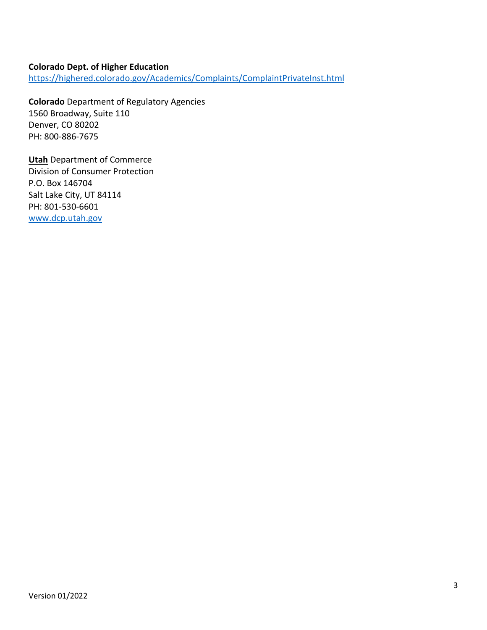#### **Colorado Dept. of Higher Education** <https://highered.colorado.gov/Academics/Complaints/ComplaintPrivateInst.html>

**Colorado** Department of Regulatory Agencies 1560 Broadway, Suite 110 Denver, CO 80202 PH: 800-886-7675

**Utah** Department of Commerce Division of Consumer Protection P.O. Box 146704 Salt Lake City, UT 84114 PH: 801-530-6601 [www.dcp.utah.gov](http://www.dcp.utah.gov/)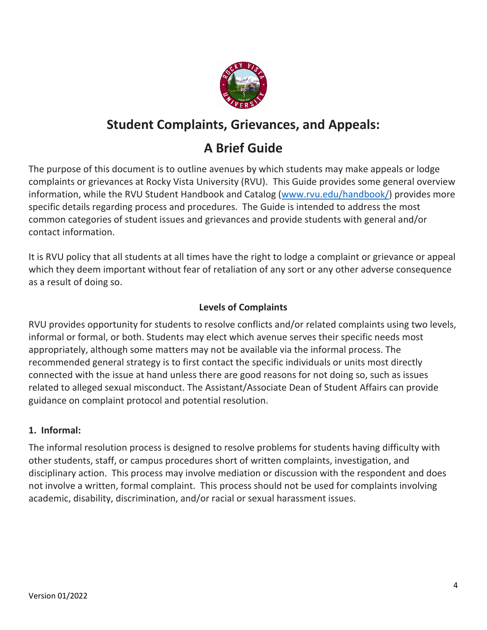

# **Student Complaints, Grievances, and Appeals:**

# **A Brief Guide**

The purpose of this document is to outline avenues by which students may make appeals or lodge complaints or grievances at Rocky Vista University (RVU). This Guide provides some general overview information, while the RVU Student Handbook and Catalog [\(www.rvu.edu/handbook/\)](http://www.rvu.edu/handbook/) provides more specific details regarding process and procedures. The Guide is intended to address the most common categories of student issues and grievances and provide students with general and/or contact information.

It is RVU policy that all students at all times have the right to lodge a complaint or grievance or appeal which they deem important without fear of retaliation of any sort or any other adverse consequence as a result of doing so.

# **Levels of Complaints**

RVU provides opportunity for students to resolve conflicts and/or related complaints using two levels, informal or formal, or both. Students may elect which avenue serves their specific needs most appropriately, although some matters may not be available via the informal process. The recommended general strategy is to first contact the specific individuals or units most directly connected with the issue at hand unless there are good reasons for not doing so, such as issues related to alleged sexual misconduct. The Assistant/Associate Dean of Student Affairs can provide guidance on complaint protocol and potential resolution.

## **1. Informal:**

The informal resolution process is designed to resolve problems for students having difficulty with other students, staff, or campus procedures short of written complaints, investigation, and disciplinary action. This process may involve mediation or discussion with the respondent and does not involve a written, formal complaint. This process should not be used for complaints involving academic, disability, discrimination, and/or racial or sexual harassment issues.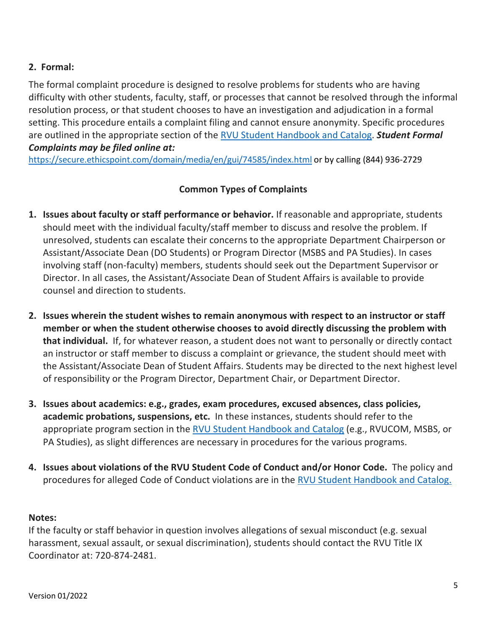# **2. Formal:**

The formal complaint procedure is designed to resolve problems for students who are having difficulty with other students, faculty, staff, or processes that cannot be resolved through the informal resolution process, or that student chooses to have an investigation and adjudication in a formal setting. This procedure entails a complaint filing and cannot ensure anonymity. Specific procedures are outlined in the appropriate section of the [RVU Student Handbook and Catalog.](http://www.rvu.edu/handbook/) *Student Formal Complaints may be filed online at:*

<https://secure.ethicspoint.com/domain/media/en/gui/74585/index.html> or by calling (844) 936-2729

## **Common Types of Complaints**

- **1. Issues about faculty or staff performance or behavior.** If reasonable and appropriate, students should meet with the individual faculty/staff member to discuss and resolve the problem. If unresolved, students can escalate their concerns to the appropriate Department Chairperson or Assistant/Associate Dean (DO Students) or Program Director (MSBS and PA Studies). In cases involving staff (non-faculty) members, students should seek out the Department Supervisor or Director. In all cases, the Assistant/Associate Dean of Student Affairs is available to provide counsel and direction to students.
- **2. Issues wherein the student wishes to remain anonymous with respect to an instructor or staff member or when the student otherwise chooses to avoid directly discussing the problem with that individual.** If, for whatever reason, a student does not want to personally or directly contact an instructor or staff member to discuss a complaint or grievance, the student should meet with the Assistant/Associate Dean of Student Affairs. Students may be directed to the next highest level of responsibility or the Program Director, Department Chair, or Department Director.
- **3. Issues about academics: e.g., grades, exam procedures, excused absences, class policies, academic probations, suspensions, etc.** In these instances, students should refer to the appropriate program section in the [RVU Student Handbook and Catalog](http://www.rvu.edu/handbook/) (e.g., RVUCOM, MSBS, or PA Studies), as slight differences are necessary in procedures for the various programs.
- **4. Issues about violations of the RVU Student Code of Conduct and/or Honor Code.** The policy and procedures for alleged Code of Conduct violations are in the [RVU Student Handbook and Catalog.](http://www.rvu.edu/handbook/)

#### **Notes:**

If the faculty or staff behavior in question involves allegations of sexual misconduct (e.g. sexual harassment, sexual assault, or sexual discrimination), students should contact the RVU Title IX Coordinator at: 720-874-2481.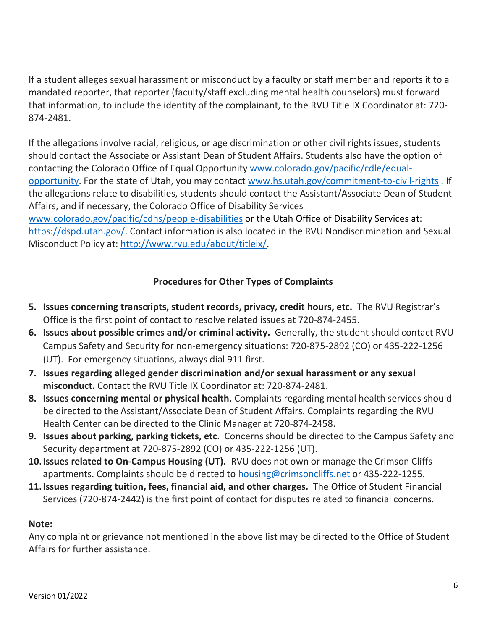If a student alleges sexual harassment or misconduct by a faculty or staff member and reports it to a mandated reporter, that reporter (faculty/staff excluding mental health counselors) must forward that information, to include the identity of the complainant, to the RVU Title IX Coordinator at: 720- 874-2481.

If the allegations involve racial, religious, or age discrimination or other civil rights issues, students should contact the Associate or Assistant Dean of Student Affairs. Students also have the option of contacting the Colorado Office of Equal Opportunity [www.colorado.gov/pacific/cdle/equal](http://www.colorado.gov/pacific/cdle/equal-opportunity)[opportunity.](http://www.colorado.gov/pacific/cdle/equal-opportunity) For the state of Utah, you may contact [www.hs.utah.gov/commitment-to-civil-rights](http://www.hs.utah.gov/commitment-to-civil-rights) . If the allegations relate to disabilities, students should contact the Assistant/Associate Dean of Student Affairs, and if necessary, the Colorado Office of Disability Services [www.colorado.gov/pacific/cdhs/people-disabilities](http://www.colorado.gov/pacific/cdhs/people-disabilities) or the Utah Office of Disability Services at: [https://dspd.utah.gov/.](https://dspd.utah.gov/) Contact information is also located in the RVU Nondiscrimination and Sexual

Misconduct Policy at: [http://www.rvu.edu/about/titleix/.](http://www.rvu.edu/about/titleix/)

# **Procedures for Other Types of Complaints**

- **5. Issues concerning transcripts, student records, privacy, credit hours, etc.** The RVU Registrar's Office is the first point of contact to resolve related issues at 720-874-2455.
- **6. Issues about possible crimes and/or criminal activity.** Generally, the student should contact RVU Campus Safety and Security for non-emergency situations: 720-875-2892 (CO) or 435-222-1256 (UT). For emergency situations, always dial 911 first.
- **7. Issues regarding alleged gender discrimination and/or sexual harassment or any sexual misconduct.** Contact the RVU Title IX Coordinator at: 720-874-2481.
- **8. Issues concerning mental or physical health.** Complaints regarding mental health services should be directed to the Assistant/Associate Dean of Student Affairs. Complaints regarding the RVU Health Center can be directed to the Clinic Manager at 720-874-2458.
- **9. Issues about parking, parking tickets, etc**. Concerns should be directed to the Campus Safety and Security department at 720-875-2892 (CO) or 435-222-1256 (UT).
- **10.Issues related to On-Campus Housing (UT).** RVU does not own or manage the Crimson Cliffs apartments. Complaints should be directed to [housing@crimsoncliffs.net](mailto:housing@crimsoncliffs.net) or 435-222-1255.
- **11.Issues regarding tuition, fees, financial aid, and other charges.** The Office of Student Financial Services (720-874-2442) is the first point of contact for disputes related to financial concerns.

## **Note:**

Any complaint or grievance not mentioned in the above list may be directed to the Office of Student Affairs for further assistance.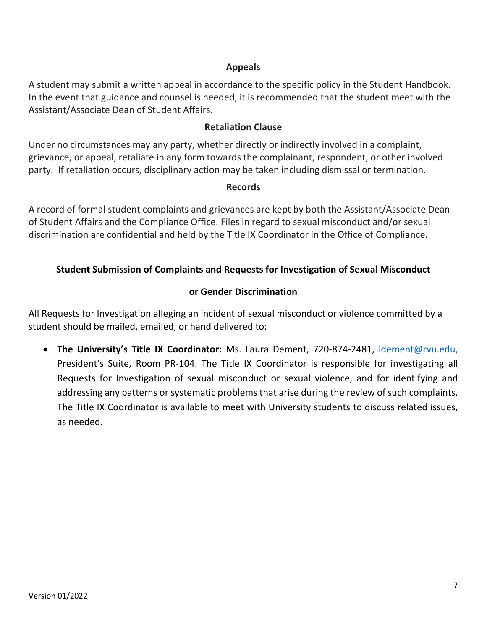#### **Appeals**

A student may submit a written appeal in accordance to the specific policy in the Student Handbook. In the event that guidance and counsel is needed, it is recommended that the student meet with the Assistant/Associate Dean of Student Affairs.

#### **Retaliation Clause**

Under no circumstances may any party, whether directly or indirectly involved in a complaint, grievance, or appeal, retaliate in any form towards the complainant, respondent, or other involved party. If retaliation occurs, disciplinary action may be taken including dismissal or termination.

#### **Records**

A record of formal student complaints and grievances are kept by both the Assistant/Associate Dean of Student Affairs and the Compliance Office. Files in regard to sexual misconduct and/or sexual discrimination are confidential and held by the Title IX Coordinator in the Office of Compliance.

## **Student Submission of Complaints and Requests for Investigation of Sexual Misconduct**

#### **or Gender Discrimination**

All Requests for Investigation alleging an incident of sexual misconduct or violence committed by a student should be mailed, emailed, or hand delivered to:

• **The University's Title IX Coordinator:** Ms. Laura Dement, 720-874-2481, [ldement@rvu.edu,](mailto:ldement@rvu.edu) President's Suite, Room PR-104. The Title IX Coordinator is responsible for investigating all Requests for Investigation of sexual misconduct or sexual violence, and for identifying and addressing any patterns or systematic problems that arise during the review of such complaints. The Title IX Coordinator is available to meet with University students to discuss related issues, as needed.